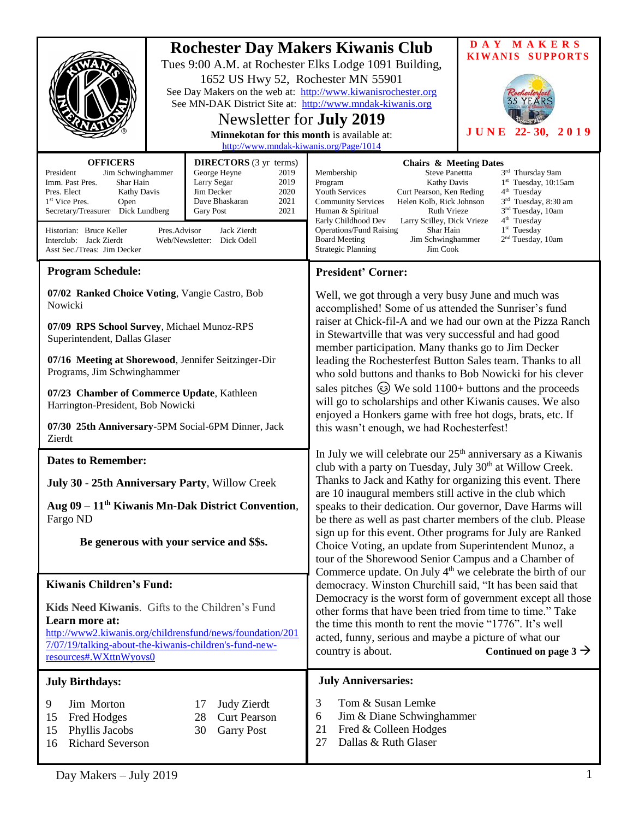|                                                                                                                                                                                                                                                                                                                                                                                                                                                                                                                | <b>Rochester Day Makers Kiwanis Club</b><br>Tues 9:00 A.M. at Rochester Elks Lodge 1091 Building,<br>1652 US Hwy 52, Rochester MN 55901<br>See Day Makers on the web at: http://www.kiwanisrochester.org<br>See MN-DAK District Site at: http://www.mndak-kiwanis.org<br>Newsletter for <b>July 2019</b><br>Minnekotan for this month is available at:<br>http://www.mndak-kiwanis.org/Page/1014 |                                                                                  |                                                                                                                                                                                                                                                                                                                                                                                                                                                                                                                                                                                                                                                                                                                                                                                                                                                                                                                                                                                                                                                                                                                                                                                                                                                                                                                                                                                                                                                                                                                                                                                                                                                                                          | DAY MAKERS<br><b>KIWANIS SUPPORTS</b><br><i>cochesteries</i><br>35 YEARS<br>$22 - 30, 2019$<br>JUNE |
|----------------------------------------------------------------------------------------------------------------------------------------------------------------------------------------------------------------------------------------------------------------------------------------------------------------------------------------------------------------------------------------------------------------------------------------------------------------------------------------------------------------|--------------------------------------------------------------------------------------------------------------------------------------------------------------------------------------------------------------------------------------------------------------------------------------------------------------------------------------------------------------------------------------------------|----------------------------------------------------------------------------------|------------------------------------------------------------------------------------------------------------------------------------------------------------------------------------------------------------------------------------------------------------------------------------------------------------------------------------------------------------------------------------------------------------------------------------------------------------------------------------------------------------------------------------------------------------------------------------------------------------------------------------------------------------------------------------------------------------------------------------------------------------------------------------------------------------------------------------------------------------------------------------------------------------------------------------------------------------------------------------------------------------------------------------------------------------------------------------------------------------------------------------------------------------------------------------------------------------------------------------------------------------------------------------------------------------------------------------------------------------------------------------------------------------------------------------------------------------------------------------------------------------------------------------------------------------------------------------------------------------------------------------------------------------------------------------------|-----------------------------------------------------------------------------------------------------|
| <b>OFFICERS</b><br><b>DIRECTORS</b> (3 yr terms)<br>President<br>Jim Schwinghammer<br>George Heyne<br>2019<br>Shar Hain<br>Larry Segar<br>2019<br>Imm. Past Pres.<br>Jim Decker<br><b>Kathy Davis</b><br>2020<br>Pres. Elect<br>Dave Bhaskaran<br>2021<br>1 <sup>st</sup> Vice Pres.<br>Open<br>Secretary/Treasurer Dick Lundberg<br>2021<br><b>Gary Post</b><br>Jack Zierdt<br>Historian: Bruce Keller<br>Pres.Advisor<br>Interclub: Jack Zierdt<br>Web/Newsletter: Dick Odell<br>Asst Sec./Treas: Jim Decker |                                                                                                                                                                                                                                                                                                                                                                                                  |                                                                                  | <b>Chairs &amp; Meeting Dates</b><br>Steve Panettta<br>3 <sup>rd</sup> Thursday 9am<br>Membership<br>Kathy Davis<br>$1st$ Tuesday, 10:15am<br>Program<br><b>Youth Services</b><br>$4th$ Tuesday<br>Curt Pearson, Ken Reding<br>3 <sup>rd</sup> Tuesday, 8:30 am<br>Helen Kolb, Rick Johnson<br><b>Community Services</b><br>3 <sup>nd</sup> Tuesday, 10am<br>Human & Spiritual<br>Ruth Vrieze<br>4 <sup>th</sup> Tuesday<br>Early Childhood Dev<br>Larry Scilley, Dick Vrieze<br><b>Operations/Fund Raising</b><br>1 <sup>st</sup> Tuesday<br>Shar Hain<br>2 <sup>nd</sup> Tuesday, 10am<br>Jim Schwinghammer<br><b>Board Meeting</b><br><b>Strategic Planning</b><br>Jim Cook                                                                                                                                                                                                                                                                                                                                                                                                                                                                                                                                                                                                                                                                                                                                                                                                                                                                                                                                                                                                           |                                                                                                     |
| <b>Program Schedule:</b>                                                                                                                                                                                                                                                                                                                                                                                                                                                                                       |                                                                                                                                                                                                                                                                                                                                                                                                  |                                                                                  | <b>President' Corner:</b>                                                                                                                                                                                                                                                                                                                                                                                                                                                                                                                                                                                                                                                                                                                                                                                                                                                                                                                                                                                                                                                                                                                                                                                                                                                                                                                                                                                                                                                                                                                                                                                                                                                                |                                                                                                     |
| 07/02 Ranked Choice Voting, Vangie Castro, Bob<br>Nowicki<br>07/09 RPS School Survey, Michael Munoz-RPS<br>Superintendent, Dallas Glaser                                                                                                                                                                                                                                                                                                                                                                       |                                                                                                                                                                                                                                                                                                                                                                                                  |                                                                                  | Well, we got through a very busy June and much was<br>accomplished! Some of us attended the Sunriser's fund<br>raiser at Chick-fil-A and we had our own at the Pizza Ranch<br>in Stewartville that was very successful and had good<br>member participation. Many thanks go to Jim Decker<br>leading the Rochesterfest Button Sales team. Thanks to all<br>who sold buttons and thanks to Bob Nowicki for his clever<br>sales pitches $\odot$ We sold 1100+ buttons and the proceeds<br>will go to scholarships and other Kiwanis causes. We also<br>enjoyed a Honkers game with free hot dogs, brats, etc. If<br>this wasn't enough, we had Rochesterfest!<br>In July we will celebrate our $25th$ anniversary as a Kiwanis<br>club with a party on Tuesday, July 30 <sup>th</sup> at Willow Creek.<br>Thanks to Jack and Kathy for organizing this event. There<br>are 10 inaugural members still active in the club which<br>speaks to their dedication. Our governor, Dave Harms will<br>be there as well as past charter members of the club. Please<br>sign up for this event. Other programs for July are Ranked<br>Choice Voting, an update from Superintendent Munoz, a<br>tour of the Shorewood Senior Campus and a Chamber of<br>Commerce update. On July 4 <sup>th</sup> we celebrate the birth of our<br>democracy. Winston Churchill said, "It has been said that<br>Democracy is the worst form of government except all those<br>other forms that have been tried from time to time." Take<br>the time this month to rent the movie "1776". It's well<br>acted, funny, serious and maybe a picture of what our<br>country is about.<br>Continued on page $3 \rightarrow$ |                                                                                                     |
| 07/16 Meeting at Shorewood, Jennifer Seitzinger-Dir<br>Programs, Jim Schwinghammer                                                                                                                                                                                                                                                                                                                                                                                                                             |                                                                                                                                                                                                                                                                                                                                                                                                  |                                                                                  |                                                                                                                                                                                                                                                                                                                                                                                                                                                                                                                                                                                                                                                                                                                                                                                                                                                                                                                                                                                                                                                                                                                                                                                                                                                                                                                                                                                                                                                                                                                                                                                                                                                                                          |                                                                                                     |
| 07/23 Chamber of Commerce Update, Kathleen<br>Harrington-President, Bob Nowicki                                                                                                                                                                                                                                                                                                                                                                                                                                |                                                                                                                                                                                                                                                                                                                                                                                                  |                                                                                  |                                                                                                                                                                                                                                                                                                                                                                                                                                                                                                                                                                                                                                                                                                                                                                                                                                                                                                                                                                                                                                                                                                                                                                                                                                                                                                                                                                                                                                                                                                                                                                                                                                                                                          |                                                                                                     |
| 07/30 25th Anniversary-5PM Social-6PM Dinner, Jack<br>Zierdt                                                                                                                                                                                                                                                                                                                                                                                                                                                   |                                                                                                                                                                                                                                                                                                                                                                                                  |                                                                                  |                                                                                                                                                                                                                                                                                                                                                                                                                                                                                                                                                                                                                                                                                                                                                                                                                                                                                                                                                                                                                                                                                                                                                                                                                                                                                                                                                                                                                                                                                                                                                                                                                                                                                          |                                                                                                     |
| <b>Dates to Remember:</b>                                                                                                                                                                                                                                                                                                                                                                                                                                                                                      |                                                                                                                                                                                                                                                                                                                                                                                                  |                                                                                  |                                                                                                                                                                                                                                                                                                                                                                                                                                                                                                                                                                                                                                                                                                                                                                                                                                                                                                                                                                                                                                                                                                                                                                                                                                                                                                                                                                                                                                                                                                                                                                                                                                                                                          |                                                                                                     |
| July 30 - 25th Anniversary Party, Willow Creek                                                                                                                                                                                                                                                                                                                                                                                                                                                                 |                                                                                                                                                                                                                                                                                                                                                                                                  |                                                                                  |                                                                                                                                                                                                                                                                                                                                                                                                                                                                                                                                                                                                                                                                                                                                                                                                                                                                                                                                                                                                                                                                                                                                                                                                                                                                                                                                                                                                                                                                                                                                                                                                                                                                                          |                                                                                                     |
| Aug 09 – 11 <sup>th</sup> Kiwanis Mn-Dak District Convention,<br>Fargo ND                                                                                                                                                                                                                                                                                                                                                                                                                                      |                                                                                                                                                                                                                                                                                                                                                                                                  |                                                                                  |                                                                                                                                                                                                                                                                                                                                                                                                                                                                                                                                                                                                                                                                                                                                                                                                                                                                                                                                                                                                                                                                                                                                                                                                                                                                                                                                                                                                                                                                                                                                                                                                                                                                                          |                                                                                                     |
| Be generous with your service and \$\$s.                                                                                                                                                                                                                                                                                                                                                                                                                                                                       |                                                                                                                                                                                                                                                                                                                                                                                                  |                                                                                  |                                                                                                                                                                                                                                                                                                                                                                                                                                                                                                                                                                                                                                                                                                                                                                                                                                                                                                                                                                                                                                                                                                                                                                                                                                                                                                                                                                                                                                                                                                                                                                                                                                                                                          |                                                                                                     |
| <b>Kiwanis Children's Fund:</b>                                                                                                                                                                                                                                                                                                                                                                                                                                                                                |                                                                                                                                                                                                                                                                                                                                                                                                  |                                                                                  |                                                                                                                                                                                                                                                                                                                                                                                                                                                                                                                                                                                                                                                                                                                                                                                                                                                                                                                                                                                                                                                                                                                                                                                                                                                                                                                                                                                                                                                                                                                                                                                                                                                                                          |                                                                                                     |
| Kids Need Kiwanis. Gifts to the Children's Fund<br>Learn more at:<br>http://www2.kiwanis.org/childrensfund/news/foundation/201<br>7/07/19/talking-about-the-kiwanis-children's-fund-new-<br>resources#.WXttnWyovs0                                                                                                                                                                                                                                                                                             |                                                                                                                                                                                                                                                                                                                                                                                                  |                                                                                  |                                                                                                                                                                                                                                                                                                                                                                                                                                                                                                                                                                                                                                                                                                                                                                                                                                                                                                                                                                                                                                                                                                                                                                                                                                                                                                                                                                                                                                                                                                                                                                                                                                                                                          |                                                                                                     |
| <b>July Birthdays:</b>                                                                                                                                                                                                                                                                                                                                                                                                                                                                                         |                                                                                                                                                                                                                                                                                                                                                                                                  |                                                                                  | <b>July Anniversaries:</b>                                                                                                                                                                                                                                                                                                                                                                                                                                                                                                                                                                                                                                                                                                                                                                                                                                                                                                                                                                                                                                                                                                                                                                                                                                                                                                                                                                                                                                                                                                                                                                                                                                                               |                                                                                                     |
| Jim Morton<br>9<br>Fred Hodges<br>15<br>15<br>Phyllis Jacobs<br><b>Richard Severson</b><br>16                                                                                                                                                                                                                                                                                                                                                                                                                  |                                                                                                                                                                                                                                                                                                                                                                                                  | <b>Judy Zierdt</b><br>17<br><b>Curt Pearson</b><br>28<br>30<br><b>Garry Post</b> | 3<br>Tom & Susan Lemke<br>Jim & Diane Schwinghammer<br>6<br>Fred & Colleen Hodges<br>21<br>Dallas & Ruth Glaser<br>27                                                                                                                                                                                                                                                                                                                                                                                                                                                                                                                                                                                                                                                                                                                                                                                                                                                                                                                                                                                                                                                                                                                                                                                                                                                                                                                                                                                                                                                                                                                                                                    |                                                                                                     |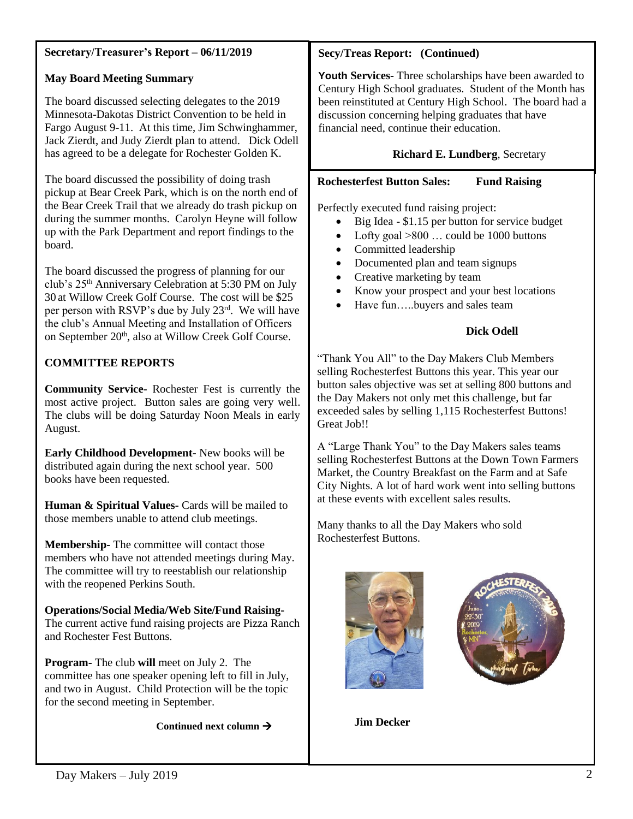## **Secretary/Treasurer's Report – 06/11/2019**

## **May Board Meeting Summary**

The board discussed selecting delegates to the 2019 Minnesota-Dakotas District Convention to be held in Fargo August 9-11. At this time, Jim Schwinghammer, Jack Zierdt, and Judy Zierdt plan to attend. Dick Odell has agreed to be a delegate for Rochester Golden K.

The board discussed the possibility of doing trash pickup at Bear Creek Park, which is on the north end of the Bear Creek Trail that we already do trash pickup on during the summer months. Carolyn Heyne will follow up with the Park Department and report findings to the board.

The board discussed the progress of planning for our club's 25th Anniversary Celebration at 5:30 PM on July 30 at Willow Creek Golf Course. The cost will be \$25 per person with RSVP's due by July 23rd. We will have the club's Annual Meeting and Installation of Officers on September 20<sup>th</sup>, also at Willow Creek Golf Course.

# **COMMITTEE REPORTS**

**Community Service-** Rochester Fest is currently the most active project. Button sales are going very well. The clubs will be doing Saturday Noon Meals in early August.

**Early Childhood Development-** New books will be distributed again during the next school year. 500 books have been requested.

**Human & Spiritual Values-** Cards will be mailed to those members unable to attend club meetings.

**Membership-** The committee will contact those members who have not attended meetings during May. The committee will try to reestablish our relationship with the reopened Perkins South.

**Operations/Social Media/Web Site/Fund Raising-**The current active fund raising projects are Pizza Ranch and Rochester Fest Buttons.

**Program-** The club **will** meet on July 2. The committee has one speaker opening left to fill in July, and two in August. Child Protection will be the topic for the second meeting in September.

**Continued next column** →

## **Secy/Treas Report: (Continued)**

**Youth Services-** Three scholarships have been awarded to Century High School graduates. Student of the Month has been reinstituted at Century High School. The board had a discussion concerning helping graduates that have financial need, continue their education.

# **Richard E. Lundberg**, Secretary

## **Rochesterfest Button Sales: Fund Raising**

Perfectly executed fund raising project:

- Big Idea \$1.15 per button for service budget
- Lofty goal  $>800$  ... could be 1000 buttons
- Committed leadership
- Documented plan and team signups
- Creative marketing by team
- Know your prospect and your best locations
- Have fun.....buyers and sales team

## **Dick Odell**

"Thank You All" to the Day Makers Club Members selling Rochesterfest Buttons this year. This year our button sales objective was set at selling 800 buttons and the Day Makers not only met this challenge, but far exceeded sales by selling 1,115 Rochesterfest Buttons! Great Job!!

A "Large Thank You" to the Day Makers sales teams selling Rochesterfest Buttons at the Down Town Farmers Market, the Country Breakfast on the Farm and at Safe City Nights. A lot of hard work went into selling buttons at these events with excellent sales results.

Many thanks to all the Day Makers who sold Rochesterfest Buttons.





 **Jim Decker**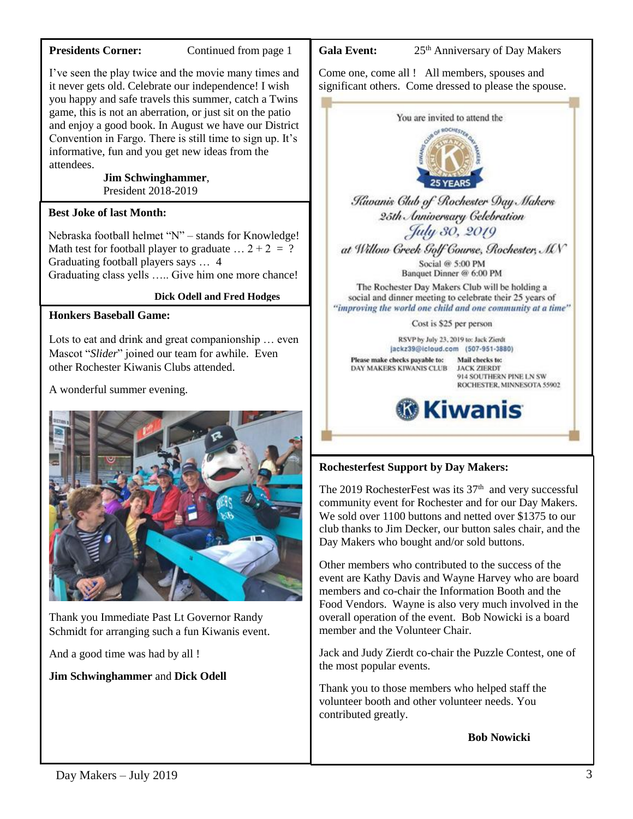Gala Event: 25<sup>th</sup> Anniversary of Day Makers

I've seen the play twice and the movie many times and it never gets old. Celebrate our independence! I wish you happy and safe travels this summer, catch a Twins game, this is not an aberration, or just sit on the patio and enjoy a good book. In August we have our District Convention in Fargo. There is still time to sign up. It's informative, fun and you get new ideas from the attendees.

#### **Jim Schwinghammer**, President 2018-2019

## **Best Joke of last Month:**

Nebraska football helmet "N" – stands for Knowledge! Math test for football player to graduate  $\ldots$  2 + 2 = ? Graduating football players says … 4 Graduating class yells ….. Give him one more chance!

### **Dick Odell and Fred Hodges**

## **Honkers Baseball Game:**

Lots to eat and drink and great companionship … even Mascot "*Slider*" joined our team for awhile. Even other Rochester Kiwanis Clubs attended.

A wonderful summer evening.



Thank you Immediate Past Lt Governor Randy Schmidt for arranging such a fun Kiwanis event.

And a good time was had by all !

**Jim Schwinghammer** and **Dick Odell**

Come one, come all ! All members, spouses and significant others. Come dressed to please the spouse.



## **Rochesterfest Support by Day Makers:**

The 2019 RochesterFest was its  $37<sup>th</sup>$  and very successful community event for Rochester and for our Day Makers. We sold over 1100 buttons and netted over \$1375 to our club thanks to Jim Decker, our button sales chair, and the Day Makers who bought and/or sold buttons.

Other members who contributed to the success of the event are Kathy Davis and Wayne Harvey who are board members and co-chair the Information Booth and the Food Vendors. Wayne is also very much involved in the overall operation of the event. Bob Nowicki is a board member and the Volunteer Chair.

Jack and Judy Zierdt co-chair the Puzzle Contest, one of the most popular events.

Thank you to those members who helped staff the volunteer booth and other volunteer needs. You contributed greatly.

**Bob Nowicki**